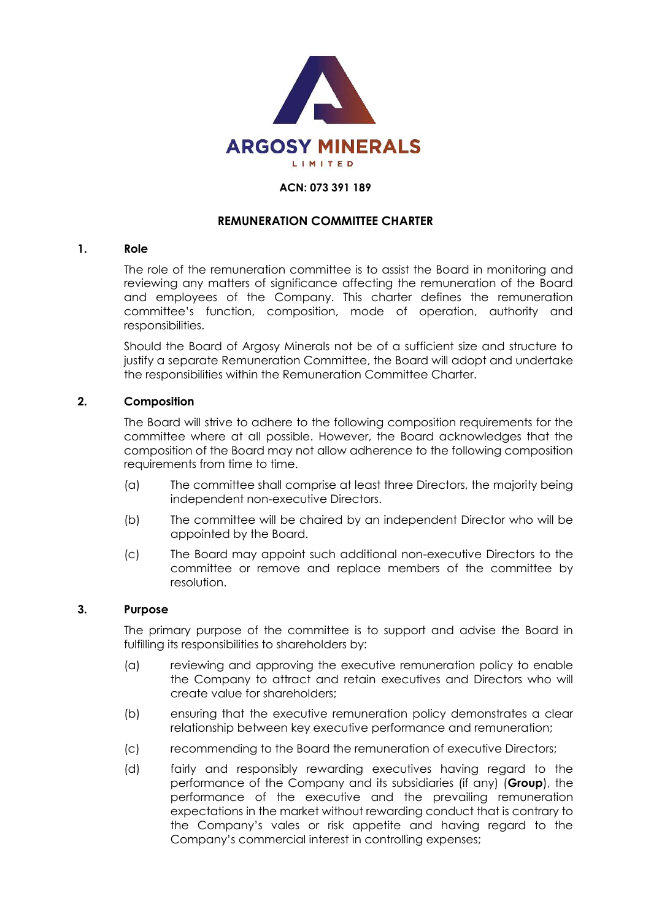

#### **ACN: 073 391 189**

#### **REMUNERATION COMMITTEE CHARTER**

#### **1. Role**

The role of the remuneration committee is to assist the Board in monitoring and reviewing any matters of significance affecting the remuneration of the Board and employees of the Company. This charter defines the remuneration committee's function, composition, mode of operation, authority and responsibilities.

Should the Board of Argosy Minerals not be of a sufficient size and structure to justify a separate Remuneration Committee, the Board will adopt and undertake the responsibilities within the Remuneration Committee Charter.

#### **2. Composition**

The Board will strive to adhere to the following composition requirements for the committee where at all possible. However, the Board acknowledges that the composition of the Board may not allow adherence to the following composition requirements from time to time.

- (a) The committee shall comprise at least three Directors, the majority being independent non-executive Directors.
- (b) The committee will be chaired by an independent Director who will be appointed by the Board.
- (c) The Board may appoint such additional non-executive Directors to the committee or remove and replace members of the committee by resolution.

#### **3. Purpose**

The primary purpose of the committee is to support and advise the Board in fulfilling its responsibilities to shareholders by:

- (a) reviewing and approving the executive remuneration policy to enable the Company to attract and retain executives and Directors who will create value for shareholders;
- (b) ensuring that the executive remuneration policy demonstrates a clear relationship between key executive performance and remuneration;
- (c) recommending to the Board the remuneration of executive Directors;
- (d) fairly and responsibly rewarding executives having regard to the performance of the Company and its subsidiaries (if any) (**Group**), the performance of the executive and the prevailing remuneration expectations in the market without rewarding conduct that is contrary to the Company's vales or risk appetite and having regard to the Company's commercial interest in controlling expenses;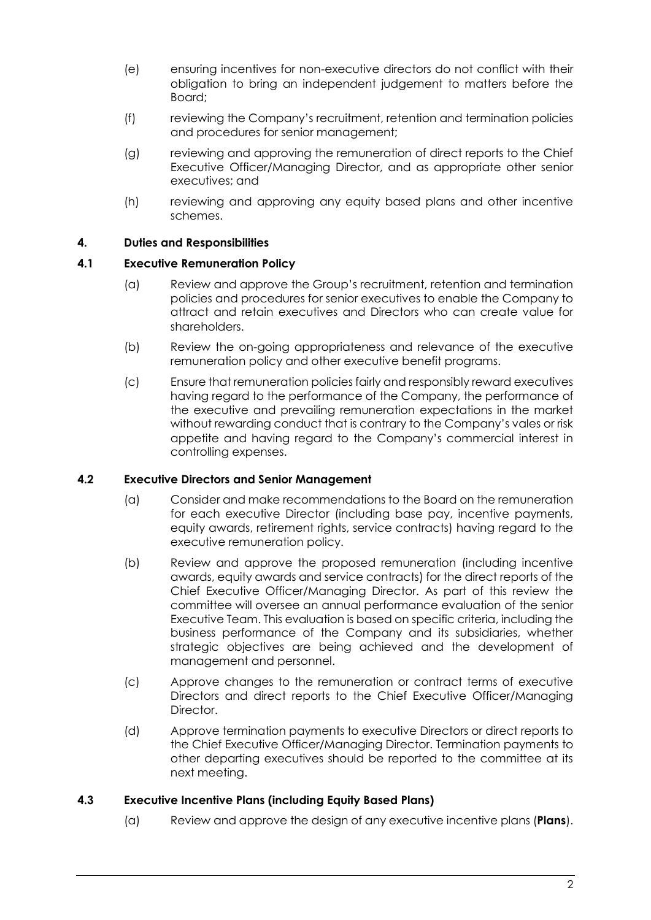- (e) ensuring incentives for non-executive directors do not conflict with their obligation to bring an independent judgement to matters before the Board;
- (f) reviewing the Company's recruitment, retention and termination policies and procedures for senior management;
- (g) reviewing and approving the remuneration of direct reports to the Chief Executive Officer/Managing Director, and as appropriate other senior executives; and
- (h) reviewing and approving any equity based plans and other incentive schemes.

# **4. Duties and Responsibilities**

## **4.1 Executive Remuneration Policy**

- (a) Review and approve the Group's recruitment, retention and termination policies and procedures for senior executives to enable the Company to attract and retain executives and Directors who can create value for shareholders.
- (b) Review the on-going appropriateness and relevance of the executive remuneration policy and other executive benefit programs.
- (c) Ensure that remuneration policies fairly and responsibly reward executives having regard to the performance of the Company, the performance of the executive and prevailing remuneration expectations in the market without rewarding conduct that is contrary to the Company's vales or risk appetite and having regard to the Company's commercial interest in controlling expenses.

### **4.2 Executive Directors and Senior Management**

- (a) Consider and make recommendations to the Board on the remuneration for each executive Director (including base pay, incentive payments, equity awards, retirement rights, service contracts) having regard to the executive remuneration policy.
- (b) Review and approve the proposed remuneration (including incentive awards, equity awards and service contracts) for the direct reports of the Chief Executive Officer/Managing Director. As part of this review the committee will oversee an annual performance evaluation of the senior Executive Team. This evaluation is based on specific criteria, including the business performance of the Company and its subsidiaries, whether strategic objectives are being achieved and the development of management and personnel.
- (c) Approve changes to the remuneration or contract terms of executive Directors and direct reports to the Chief Executive Officer/Managing Director.
- (d) Approve termination payments to executive Directors or direct reports to the Chief Executive Officer/Managing Director. Termination payments to other departing executives should be reported to the committee at its next meeting.

### **4.3 Executive Incentive Plans (including Equity Based Plans)**

(a) Review and approve the design of any executive incentive plans (**Plans**).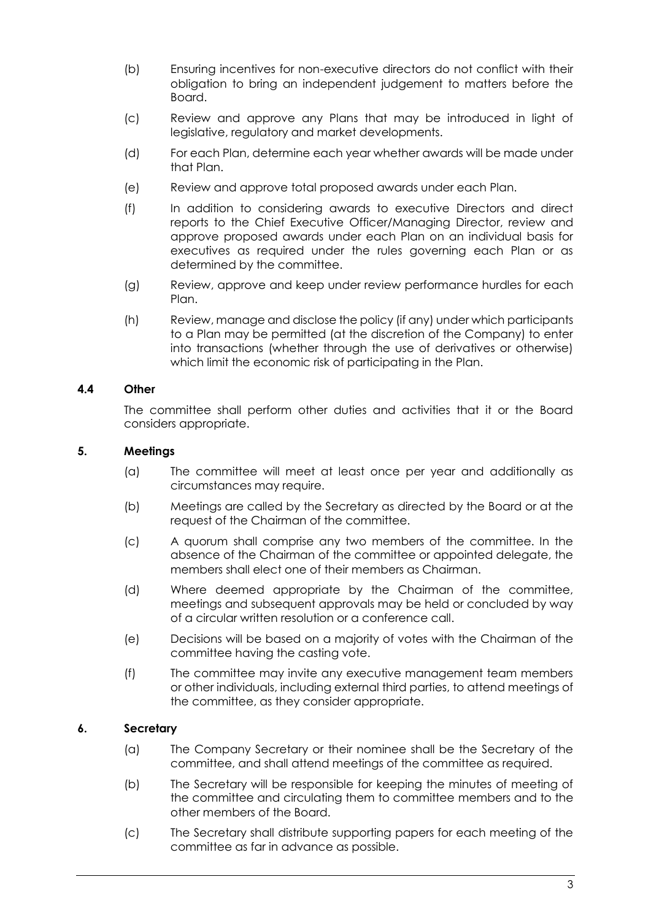- (b) Ensuring incentives for non-executive directors do not conflict with their obligation to bring an independent judgement to matters before the Board.
- (c) Review and approve any Plans that may be introduced in light of legislative, regulatory and market developments.
- (d) For each Plan, determine each year whether awards will be made under that Plan.
- (e) Review and approve total proposed awards under each Plan.
- (f) In addition to considering awards to executive Directors and direct reports to the Chief Executive Officer/Managing Director, review and approve proposed awards under each Plan on an individual basis for executives as required under the rules governing each Plan or as determined by the committee.
- (g) Review, approve and keep under review performance hurdles for each Plan.
- (h) Review, manage and disclose the policy (if any) under which participants to a Plan may be permitted (at the discretion of the Company) to enter into transactions (whether through the use of derivatives or otherwise) which limit the economic risk of participating in the Plan.

### **4.4 Other**

The committee shall perform other duties and activities that it or the Board considers appropriate.

### **5. Meetings**

- (a) The committee will meet at least once per year and additionally as circumstances may require.
- (b) Meetings are called by the Secretary as directed by the Board or at the request of the Chairman of the committee.
- (c) A quorum shall comprise any two members of the committee. In the absence of the Chairman of the committee or appointed delegate, the members shall elect one of their members as Chairman.
- (d) Where deemed appropriate by the Chairman of the committee, meetings and subsequent approvals may be held or concluded by way of a circular written resolution or a conference call.
- (e) Decisions will be based on a majority of votes with the Chairman of the committee having the casting vote.
- (f) The committee may invite any executive management team members or other individuals, including external third parties, to attend meetings of the committee, as they consider appropriate.

### **6. Secretary**

- (a) The Company Secretary or their nominee shall be the Secretary of the committee, and shall attend meetings of the committee as required.
- (b) The Secretary will be responsible for keeping the minutes of meeting of the committee and circulating them to committee members and to the other members of the Board.
- (c) The Secretary shall distribute supporting papers for each meeting of the committee as far in advance as possible.